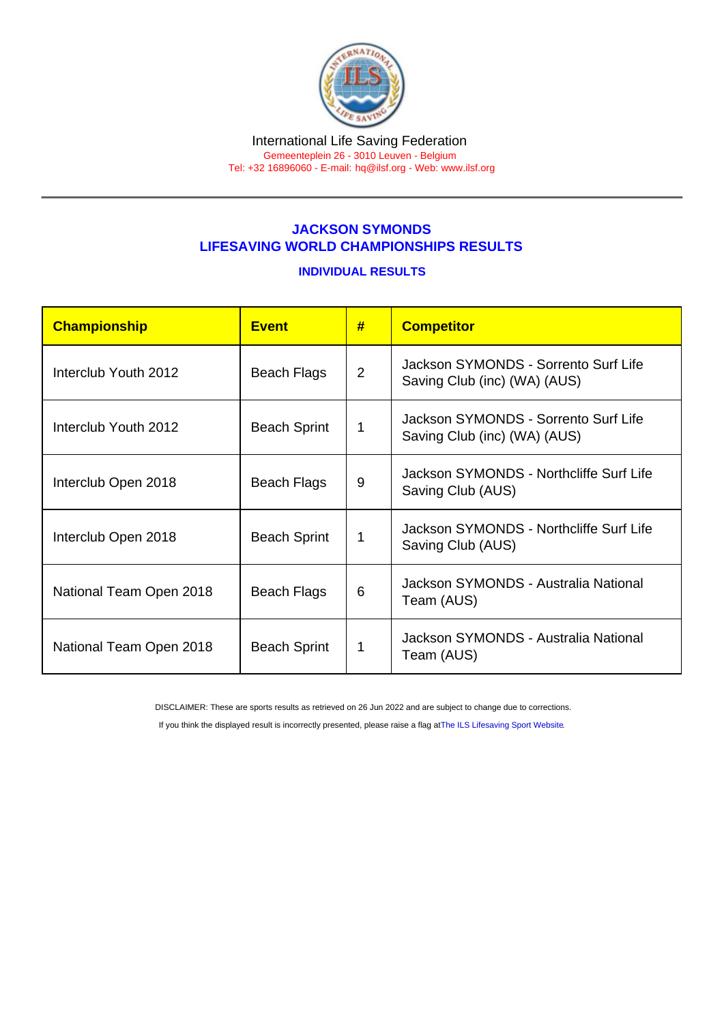## JACKSON SYMONDS LIFESAVING WORLD CHAMPIONSHIPS RESULTS

## INDIVIDUAL RESULTS

| Championship            | <b>Event</b>        | #              | <b>Competitor</b>                                                    |  |
|-------------------------|---------------------|----------------|----------------------------------------------------------------------|--|
| Interclub Youth 2012    | Beach Flags         | $\overline{2}$ | Jackson SYMONDS - Sorrento Surf Life<br>Saving Club (inc) (WA) (AUS) |  |
| Interclub Youth 2012    | <b>Beach Sprint</b> | 1              | Jackson SYMONDS - Sorrento Surf Life<br>Saving Club (inc) (WA) (AUS) |  |
| Interclub Open 2018     | Beach Flags         | 9              | Jackson SYMONDS - Northcliffe Surf Life<br>Saving Club (AUS)         |  |
| Interclub Open 2018     | <b>Beach Sprint</b> | 1              | Jackson SYMONDS - Northcliffe Surf Life<br>Saving Club (AUS)         |  |
| National Team Open 2018 | Beach Flags         | 6              | Jackson SYMONDS - Australia National<br>Team (AUS)                   |  |
| National Team Open 2018 | <b>Beach Sprint</b> | 1              | Jackson SYMONDS - Australia National<br>Team (AUS)                   |  |

DISCLAIMER: These are sports results as retrieved on 26 Jun 2022 and are subject to change due to corrections.

If you think the displayed result is incorrectly presented, please raise a flag at [The ILS Lifesaving Sport Website.](https://sport.ilsf.org)